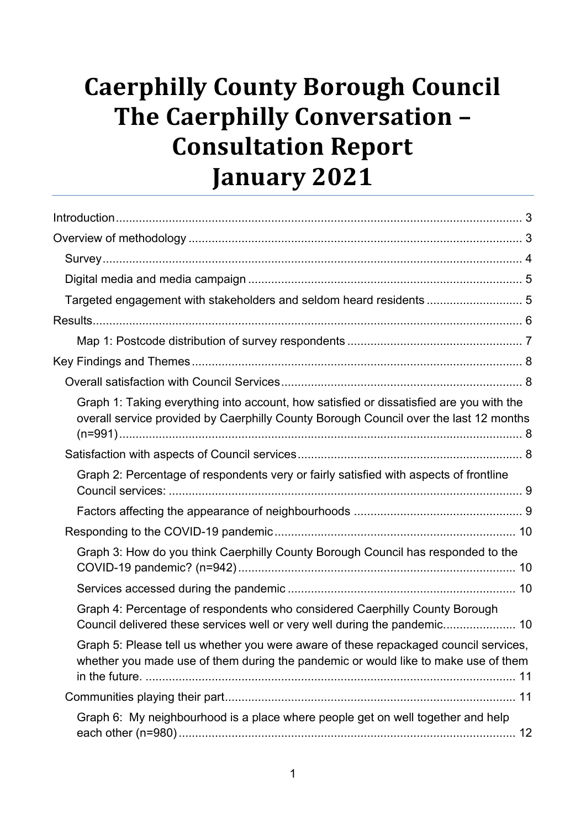# **Caerphilly County Borough Council The Caerphilly Conversation – Consultation Report January 2021**

| Targeted engagement with stakeholders and seldom heard residents  5                                                                                                              |  |
|----------------------------------------------------------------------------------------------------------------------------------------------------------------------------------|--|
|                                                                                                                                                                                  |  |
|                                                                                                                                                                                  |  |
|                                                                                                                                                                                  |  |
|                                                                                                                                                                                  |  |
| Graph 1: Taking everything into account, how satisfied or dissatisfied are you with the<br>overall service provided by Caerphilly County Borough Council over the last 12 months |  |
|                                                                                                                                                                                  |  |
| Graph 2: Percentage of respondents very or fairly satisfied with aspects of frontline                                                                                            |  |
|                                                                                                                                                                                  |  |
|                                                                                                                                                                                  |  |
| Graph 3: How do you think Caerphilly County Borough Council has responded to the                                                                                                 |  |
|                                                                                                                                                                                  |  |
| Graph 4: Percentage of respondents who considered Caerphilly County Borough<br>Council delivered these services well or very well during the pandemic 10                         |  |
| Graph 5: Please tell us whether you were aware of these repackaged council services,<br>whether you made use of them during the pandemic or would like to make use of them       |  |
|                                                                                                                                                                                  |  |
| Graph 6: My neighbourhood is a place where people get on well together and help                                                                                                  |  |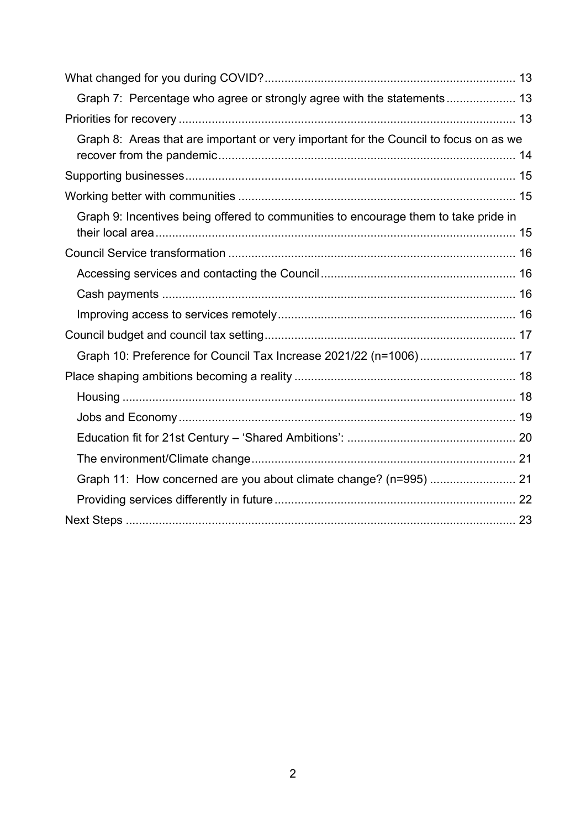| Graph 7: Percentage who agree or strongly agree with the statements 13                |  |
|---------------------------------------------------------------------------------------|--|
|                                                                                       |  |
| Graph 8: Areas that are important or very important for the Council to focus on as we |  |
|                                                                                       |  |
|                                                                                       |  |
| Graph 9: Incentives being offered to communities to encourage them to take pride in   |  |
|                                                                                       |  |
|                                                                                       |  |
|                                                                                       |  |
|                                                                                       |  |
|                                                                                       |  |
| Graph 10: Preference for Council Tax Increase 2021/22 (n=1006) 17                     |  |
|                                                                                       |  |
|                                                                                       |  |
|                                                                                       |  |
|                                                                                       |  |
|                                                                                       |  |
| Graph 11: How concerned are you about climate change? (n=995)  21                     |  |
|                                                                                       |  |
|                                                                                       |  |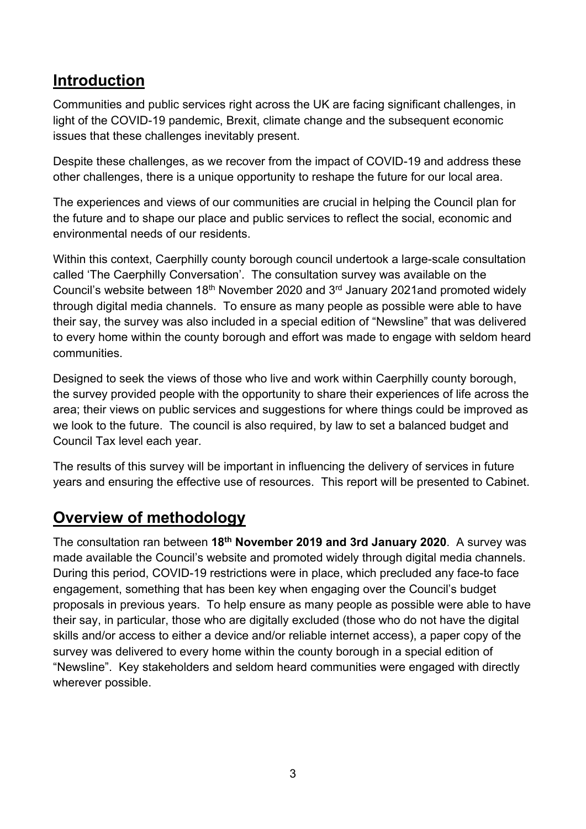# <span id="page-2-0"></span>**Introduction**

Communities and public services right across the UK are facing significant challenges, in light of the COVID-19 pandemic, Brexit, climate change and the subsequent economic issues that these challenges inevitably present.

Despite these challenges, as we recover from the impact of COVID-19 and address these other challenges, there is a unique opportunity to reshape the future for our local area.

The experiences and views of our communities are crucial in helping the Council plan for the future and to shape our place and public services to reflect the social, economic and environmental needs of our residents.

Within this context, Caerphilly county borough council undertook a large-scale consultation called 'The Caerphilly Conversation'. The consultation survey was available on the Council's website between 18<sup>th</sup> November 2020 and 3<sup>rd</sup> January 2021and promoted widely through digital media channels. To ensure as many people as possible were able to have their say, the survey was also included in a special edition of "Newsline" that was delivered to every home within the county borough and effort was made to engage with seldom heard communities.

Designed to seek the views of those who live and work within Caerphilly county borough, the survey provided people with the opportunity to share their experiences of life across the area; their views on public services and suggestions for where things could be improved as we look to the future. The council is also required, by law to set a balanced budget and Council Tax level each year.

The results of this survey will be important in influencing the delivery of services in future years and ensuring the effective use of resources. This report will be presented to Cabinet.

# <span id="page-2-1"></span>**Overview of methodology**

The consultation ran between **18 th November 2019 and 3rd January 2020**. A survey was made available the Council's website and promoted widely through digital media channels. During this period, COVID-19 restrictions were in place, which precluded any face-to face engagement, something that has been key when engaging over the Council's budget proposals in previous years. To help ensure as many people as possible were able to have their say, in particular, those who are digitally excluded (those who do not have the digital skills and/or access to either a device and/or reliable internet access), a paper copy of the survey was delivered to every home within the county borough in a special edition of "Newsline". Key stakeholders and seldom heard communities were engaged with directly wherever possible.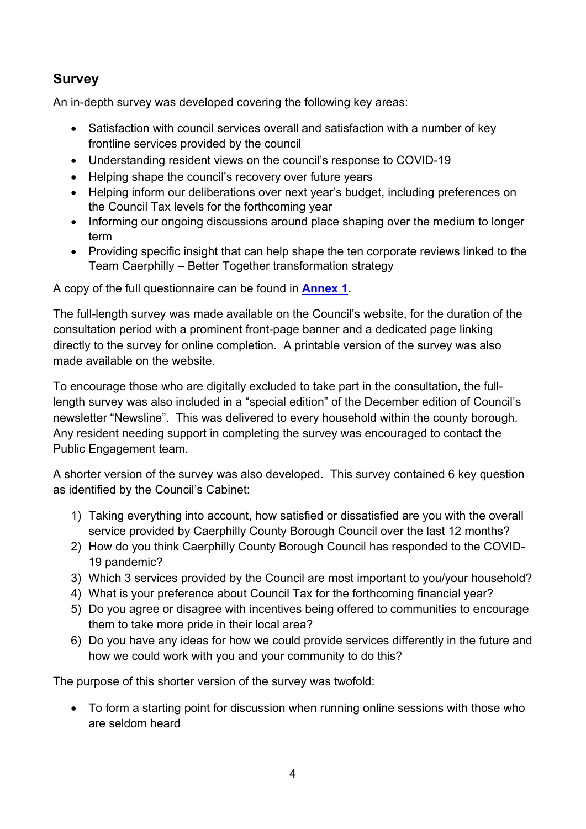## <span id="page-3-0"></span>**Survey**

An in-depth survey was developed covering the following key areas:

- Satisfaction with council services overall and satisfaction with a number of key frontline services provided by the council
- Understanding resident views on the council's response to COVID-19
- Helping shape the council's recovery over future years
- Helping inform our deliberations over next year's budget, including preferences on the Council Tax levels for the forthcoming year
- Informing our ongoing discussions around place shaping over the medium to longer term
- Providing specific insight that can help shape the ten corporate reviews linked to the Team Caerphilly – Better Together transformation strategy

A copy of the full questionnaire can be found in **[Annex 1.](https://www.caerphilly.gov.uk/CaerphillyDocs/Consultations/Caerphilly-Conversation/Annex1.aspx)**

The full-length survey was made available on the Council's website, for the duration of the consultation period with a prominent front-page banner and a dedicated page linking directly to the survey for online completion. A printable version of the survey was also made available on the website.

To encourage those who are digitally excluded to take part in the consultation, the fulllength survey was also included in a "special edition" of the December edition of Council's newsletter "Newsline". This was delivered to every household within the county borough. Any resident needing support in completing the survey was encouraged to contact the Public Engagement team.

A shorter version of the survey was also developed. This survey contained 6 key question as identified by the Council's Cabinet:

- 1) Taking everything into account, how satisfied or dissatisfied are you with the overall service provided by Caerphilly County Borough Council over the last 12 months?
- 2) How do you think Caerphilly County Borough Council has responded to the COVID-19 pandemic?
- 3) Which 3 services provided by the Council are most important to you/your household?
- 4) What is your preference about Council Tax for the forthcoming financial year?
- 5) Do you agree or disagree with incentives being offered to communities to encourage them to take more pride in their local area?
- 6) Do you have any ideas for how we could provide services differently in the future and how we could work with you and your community to do this?

The purpose of this shorter version of the survey was twofold:

• To form a starting point for discussion when running online sessions with those who are seldom heard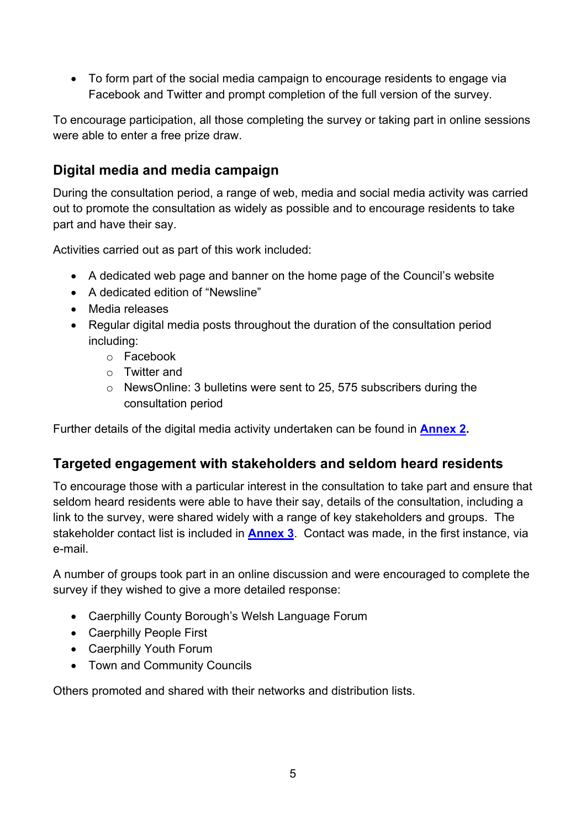• To form part of the social media campaign to encourage residents to engage via Facebook and Twitter and prompt completion of the full version of the survey.

To encourage participation, all those completing the survey or taking part in online sessions were able to enter a free prize draw.

## <span id="page-4-0"></span>**Digital media and media campaign**

During the consultation period, a range of web, media and social media activity was carried out to promote the consultation as widely as possible and to encourage residents to take part and have their say.

Activities carried out as part of this work included:

- A dedicated web page and banner on the home page of the Council's website
- A dedicated edition of "Newsline"
- Media releases
- Regular digital media posts throughout the duration of the consultation period including:
	- o Facebook
	- o Twitter and
	- o NewsOnline: 3 bulletins were sent to 25, 575 subscribers during the consultation period

Further details of the digital media activity undertaken can be found in **[Annex](https://www.caerphilly.gov.uk/CaerphillyDocs/Consultations/Caerphilly-Conversation/Annex2.aspx) 2.**

#### <span id="page-4-1"></span>**Targeted engagement with stakeholders and seldom heard residents**

To encourage those with a particular interest in the consultation to take part and ensure that seldom heard residents were able to have their say, details of the consultation, including a link to the survey, were shared widely with a range of key stakeholders and groups. The stakeholder contact list is included in **[Annex](https://www.caerphilly.gov.uk/CaerphillyDocs/Consultations/Caerphilly-Conversation/Annex3.aspx) 3**. Contact was made, in the first instance, via e-mail.

A number of groups took part in an online discussion and were encouraged to complete the survey if they wished to give a more detailed response:

- Caerphilly County Borough's Welsh Language Forum
- Caerphilly People First
- Caerphilly Youth Forum
- Town and Community Councils

Others promoted and shared with their networks and distribution lists.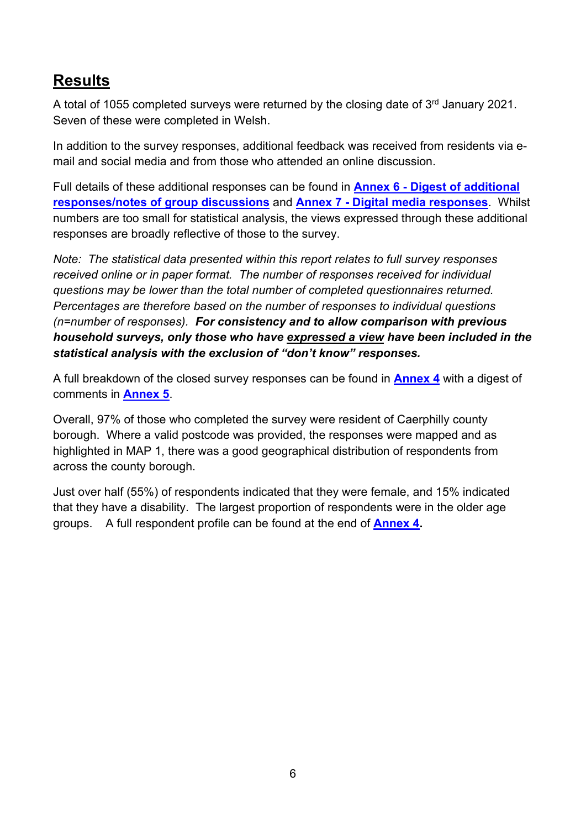# <span id="page-5-0"></span>**Results**

A total of 1055 completed surveys were returned by the closing date of 3<sup>rd</sup> January 2021. Seven of these were completed in Welsh.

In addition to the survey responses, additional feedback was received from residents via email and social media and from those who attended an online discussion.

Full details of these additional responses can be found in **Annex 6 - [Digest of additional](https://www.caerphilly.gov.uk/CaerphillyDocs/Consultations/Caerphilly-Conversation/Annex6.aspx)  [responses/notes of group discussions](https://www.caerphilly.gov.uk/CaerphillyDocs/Consultations/Caerphilly-Conversation/Annex6.aspx)** and **Annex 7 - [Digital media responses](https://www.caerphilly.gov.uk/CaerphillyDocs/Consultations/Caerphilly-Conversation/Annex7.aspx)**. Whilst numbers are too small for statistical analysis, the views expressed through these additional responses are broadly reflective of those to the survey.

*Note: The statistical data presented within this report relates to full survey responses received online or in paper format. The number of responses received for individual questions may be lower than the total number of completed questionnaires returned. Percentages are therefore based on the number of responses to individual questions (n=number of responses). For consistency and to allow comparison with previous household surveys, only those who have expressed a view have been included in the statistical analysis with the exclusion of "don't know" responses.*

A full breakdown of the closed survey responses can be found in **[Annex 4](https://www.caerphilly.gov.uk/CaerphillyDocs/Consultations/Caerphilly-Conversation/Annex4.aspx)** with a digest of comments in **[Annex 5](https://www.caerphilly.gov.uk/CaerphillyDocs/Consultations/Caerphilly-Conversation/Annex5.aspx)**.

Overall, 97% of those who completed the survey were resident of Caerphilly county borough. Where a valid postcode was provided, the responses were mapped and as highlighted in MAP 1, there was a good geographical distribution of respondents from across the county borough.

Just over half (55%) of respondents indicated that they were female, and 15% indicated that they have a disability. The largest proportion of respondents were in the older age groups. A full respondent profile can be found at the end of **[Annex 4.](https://www.caerphilly.gov.uk/CaerphillyDocs/Consultations/Caerphilly-Conversation/Annex4.aspx)**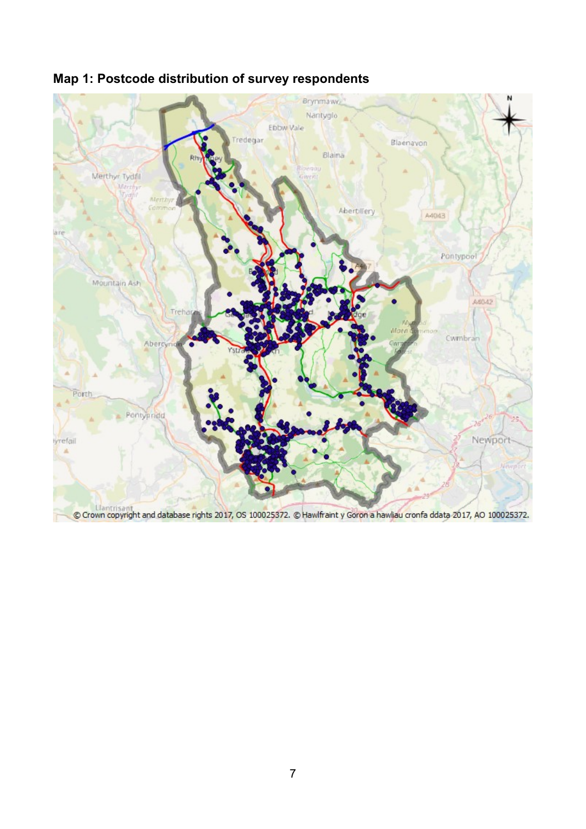

# <span id="page-6-0"></span>**Map 1: Postcode distribution of survey respondents**

Contribution of the Crown copyright and database rights 2017, OS 100025372. © Hawlfraint y Goron a hawliau cronfa ddata 2017, AO 100025372.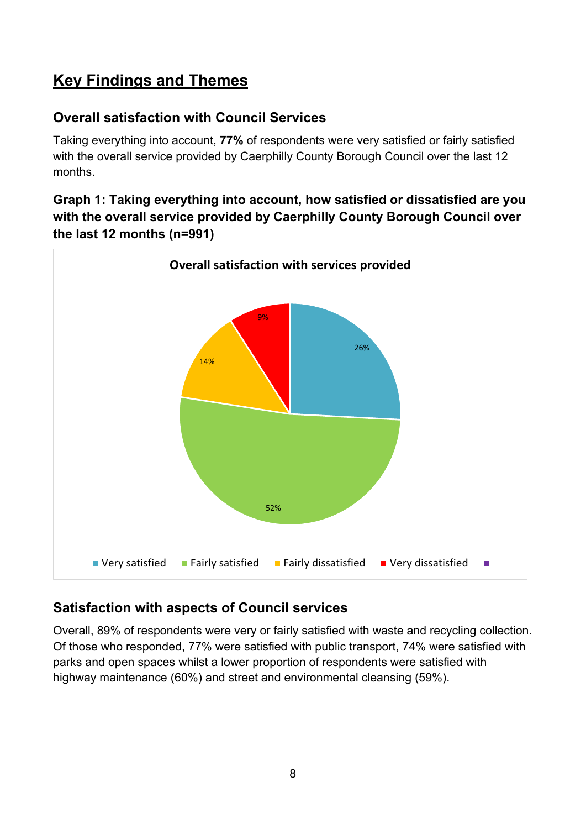# <span id="page-7-0"></span>**Key Findings and Themes**

## <span id="page-7-1"></span>**Overall satisfaction with Council Services**

Taking everything into account, **77%** of respondents were very satisfied or fairly satisfied with the overall service provided by Caerphilly County Borough Council over the last 12 months.

#### <span id="page-7-2"></span>**Graph 1: Taking everything into account, how satisfied or dissatisfied are you with the overall service provided by Caerphilly County Borough Council over the last 12 months (n=991)**



## <span id="page-7-3"></span>**Satisfaction with aspects of Council services**

Overall, 89% of respondents were very or fairly satisfied with waste and recycling collection. Of those who responded, 77% were satisfied with public transport, 74% were satisfied with parks and open spaces whilst a lower proportion of respondents were satisfied with highway maintenance (60%) and street and environmental cleansing (59%).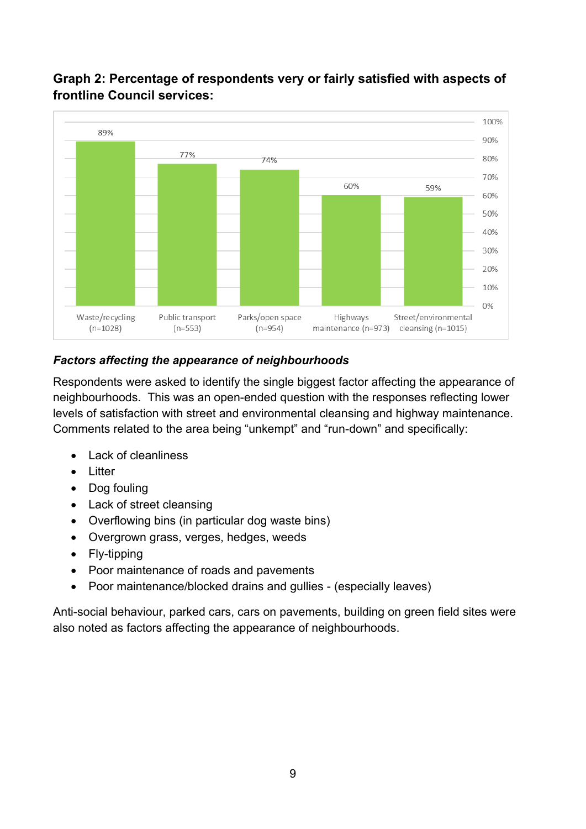

## <span id="page-8-0"></span>**Graph 2: Percentage of respondents very or fairly satisfied with aspects of frontline Council services:**

#### <span id="page-8-1"></span>*Factors affecting the appearance of neighbourhoods*

Respondents were asked to identify the single biggest factor affecting the appearance of neighbourhoods. This was an open-ended question with the responses reflecting lower levels of satisfaction with street and environmental cleansing and highway maintenance. Comments related to the area being "unkempt" and "run-down" and specifically:

- Lack of cleanliness
- Litter
- Dog fouling
- Lack of street cleansing
- Overflowing bins (in particular dog waste bins)
- Overgrown grass, verges, hedges, weeds
- Fly-tipping
- Poor maintenance of roads and pavements
- Poor maintenance/blocked drains and gullies (especially leaves)

Anti-social behaviour, parked cars, cars on pavements, building on green field sites were also noted as factors affecting the appearance of neighbourhoods.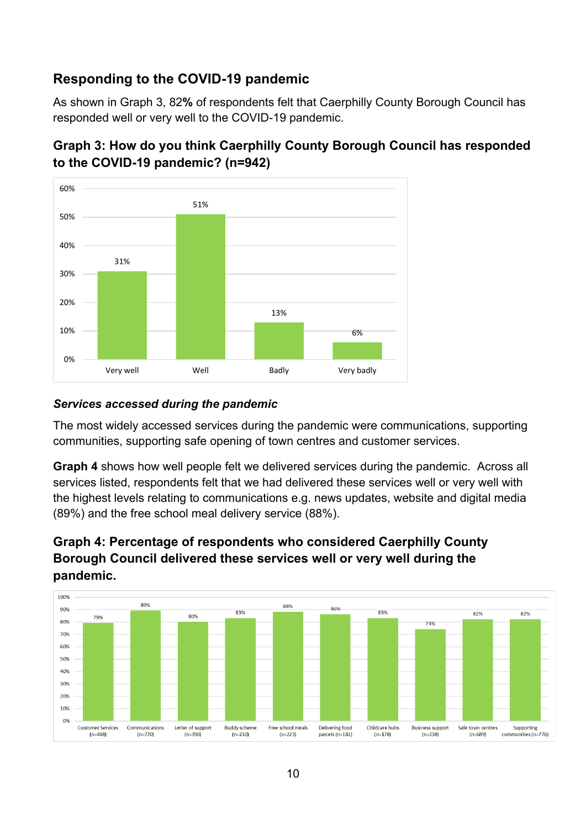## <span id="page-9-0"></span>**Responding to the COVID-19 pandemic**

As shown in Graph 3, 82**%** of respondents felt that Caerphilly County Borough Council has responded well or very well to the COVID-19 pandemic.



## <span id="page-9-1"></span>**Graph 3: How do you think Caerphilly County Borough Council has responded to the COVID-19 pandemic? (n=942)**

#### <span id="page-9-2"></span>*Services accessed during the pandemic*

The most widely accessed services during the pandemic were communications, supporting communities, supporting safe opening of town centres and customer services.

**Graph 4** shows how well people felt we delivered services during the pandemic. Across all services listed, respondents felt that we had delivered these services well or very well with the highest levels relating to communications e.g. news updates, website and digital media (89%) and the free school meal delivery service (88%).

#### <span id="page-9-3"></span>**Graph 4: Percentage of respondents who considered Caerphilly County Borough Council delivered these services well or very well during the pandemic.**

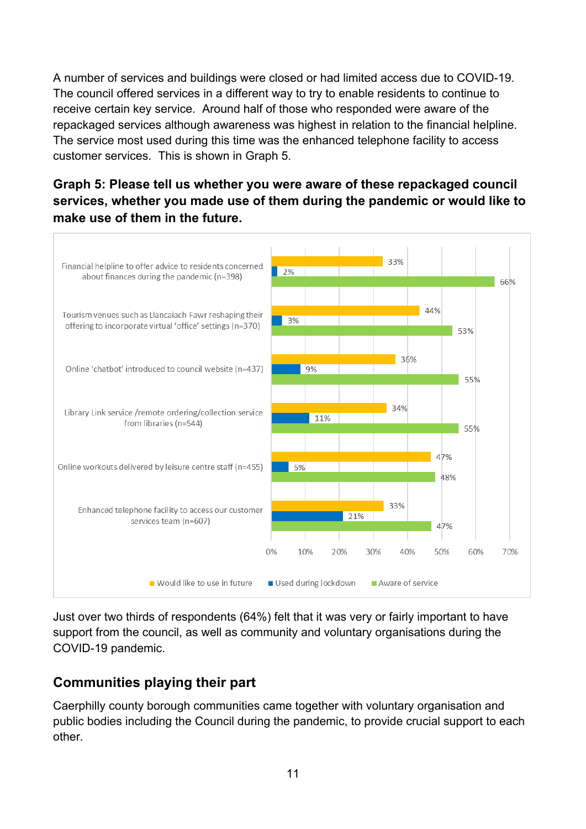A number of services and buildings were closed or had limited access due to COVID-19. The council offered services in a different way to try to enable residents to continue to receive certain key service. Around half of those who responded were aware of the repackaged services although awareness was highest in relation to the financial helpline. The service most used during this time was the enhanced telephone facility to access customer services. This is shown in Graph 5.

<span id="page-10-0"></span>**Graph 5: Please tell us whether you were aware of these repackaged council services, whether you made use of them during the pandemic or would like to make use of them in the future.**



Just over two thirds of respondents (64%) felt that it was very or fairly important to have support from the council, as well as community and voluntary organisations during the COVID-19 pandemic.

## <span id="page-10-1"></span>**Communities playing their part**

Caerphilly county borough communities came together with voluntary organisation and public bodies including the Council during the pandemic, to provide crucial support to each other.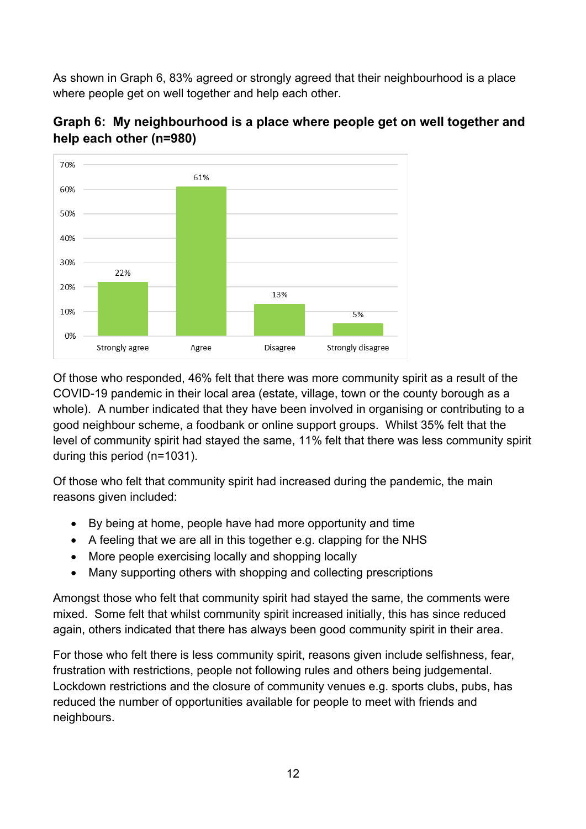As shown in Graph 6, 83% agreed or strongly agreed that their neighbourhood is a place where people get on well together and help each other.



#### <span id="page-11-0"></span>**Graph 6: My neighbourhood is a place where people get on well together and help each other (n=980)**

Of those who responded, 46% felt that there was more community spirit as a result of the COVID-19 pandemic in their local area (estate, village, town or the county borough as a whole). A number indicated that they have been involved in organising or contributing to a good neighbour scheme, a foodbank or online support groups. Whilst 35% felt that the level of community spirit had stayed the same, 11% felt that there was less community spirit during this period (n=1031).

Of those who felt that community spirit had increased during the pandemic, the main reasons given included:

- By being at home, people have had more opportunity and time
- A feeling that we are all in this together e.g. clapping for the NHS
- More people exercising locally and shopping locally
- Many supporting others with shopping and collecting prescriptions

Amongst those who felt that community spirit had stayed the same, the comments were mixed. Some felt that whilst community spirit increased initially, this has since reduced again, others indicated that there has always been good community spirit in their area.

For those who felt there is less community spirit, reasons given include selfishness, fear, frustration with restrictions, people not following rules and others being judgemental. Lockdown restrictions and the closure of community venues e.g. sports clubs, pubs, has reduced the number of opportunities available for people to meet with friends and neighbours.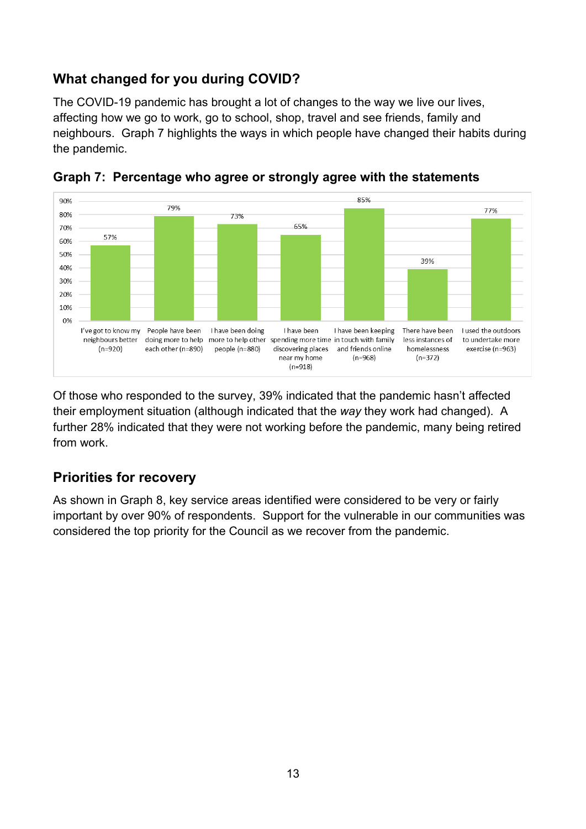## <span id="page-12-0"></span>**What changed for you during COVID?**

The COVID-19 pandemic has brought a lot of changes to the way we live our lives, affecting how we go to work, go to school, shop, travel and see friends, family and neighbours. Graph 7 highlights the ways in which people have changed their habits during the pandemic.



<span id="page-12-1"></span>

Of those who responded to the survey, 39% indicated that the pandemic hasn't affected their employment situation (although indicated that the *way* they work had changed). A further 28% indicated that they were not working before the pandemic, many being retired from work.

## <span id="page-12-2"></span>**Priorities for recovery**

As shown in Graph 8, key service areas identified were considered to be very or fairly important by over 90% of respondents. Support for the vulnerable in our communities was considered the top priority for the Council as we recover from the pandemic.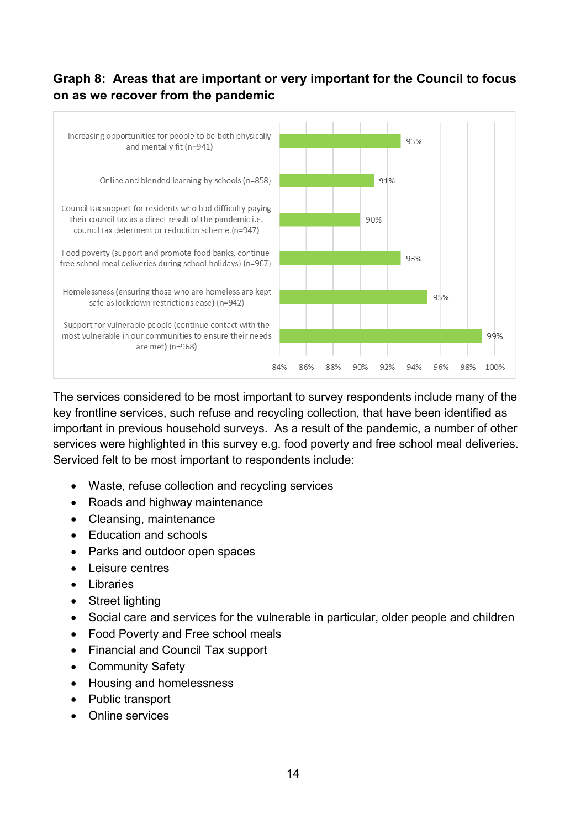#### <span id="page-13-0"></span>**Graph 8: Areas that are important or very important for the Council to focus on as we recover from the pandemic**



The services considered to be most important to survey respondents include many of the key frontline services, such refuse and recycling collection, that have been identified as important in previous household surveys. As a result of the pandemic, a number of other services were highlighted in this survey e.g. food poverty and free school meal deliveries. Serviced felt to be most important to respondents include:

- Waste, refuse collection and recycling services
- Roads and highway maintenance
- Cleansing, maintenance
- Education and schools
- Parks and outdoor open spaces
- Leisure centres
- Libraries
- Street lighting
- Social care and services for the vulnerable in particular, older people and children
- Food Poverty and Free school meals
- Financial and Council Tax support
- Community Safety
- Housing and homelessness
- Public transport
- Online services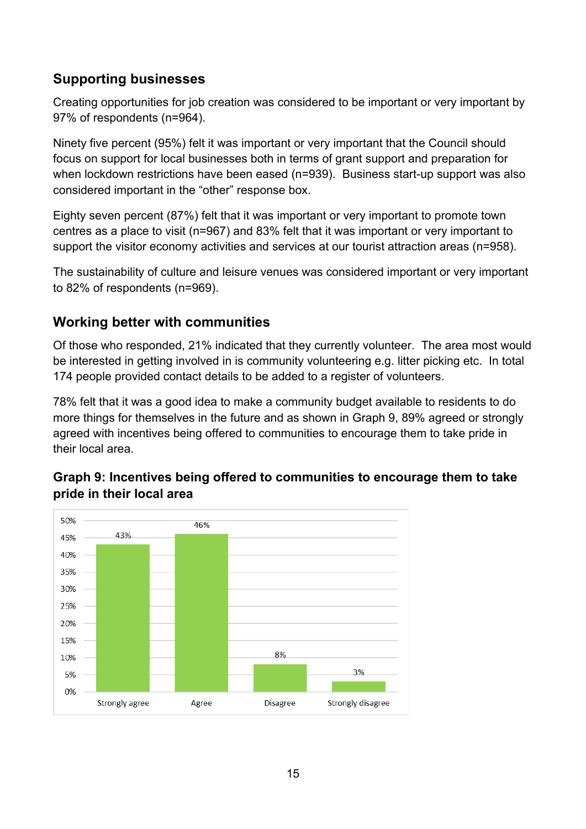## <span id="page-14-0"></span>**Supporting businesses**

Creating opportunities for job creation was considered to be important or very important by 97% of respondents (n=964).

Ninety five percent (95%) felt it was important or very important that the Council should focus on support for local businesses both in terms of grant support and preparation for when lockdown restrictions have been eased (n=939). Business start-up support was also considered important in the "other" response box.

Eighty seven percent (87%) felt that it was important or very important to promote town centres as a place to visit (n=967) and 83% felt that it was important or very important to support the visitor economy activities and services at our tourist attraction areas (n=958).

The sustainability of culture and leisure venues was considered important or very important to 82% of respondents (n=969).

#### <span id="page-14-1"></span>**Working better with communities**

Of those who responded, 21% indicated that they currently volunteer. The area most would be interested in getting involved in is community volunteering e.g. litter picking etc. In total 174 people provided contact details to be added to a register of volunteers.

78% felt that it was a good idea to make a community budget available to residents to do more things for themselves in the future and as shown in Graph 9, 89% agreed or strongly agreed with incentives being offered to communities to encourage them to take pride in their local area.



#### <span id="page-14-2"></span>**Graph 9: Incentives being offered to communities to encourage them to take pride in their local area**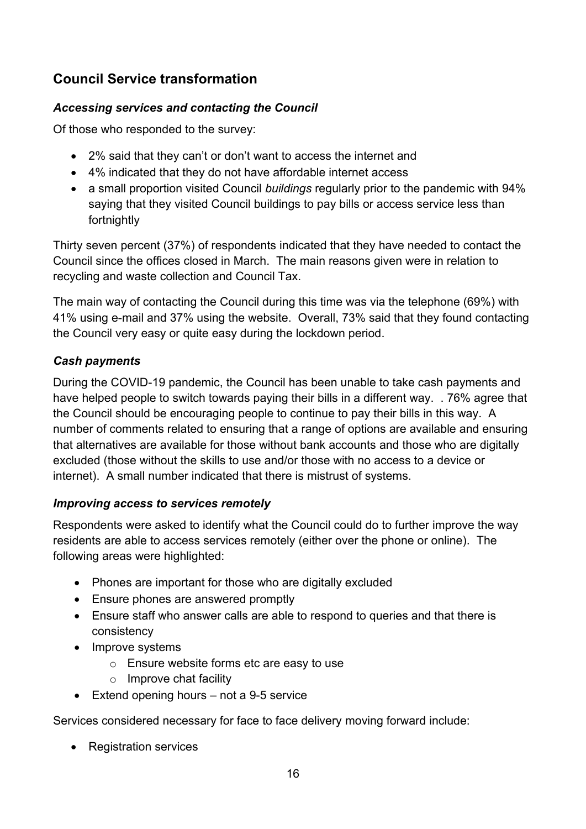## <span id="page-15-0"></span>**Council Service transformation**

#### <span id="page-15-1"></span>*Accessing services and contacting the Council*

Of those who responded to the survey:

- 2% said that they can't or don't want to access the internet and
- 4% indicated that they do not have affordable internet access
- a small proportion visited Council *buildings* regularly prior to the pandemic with 94% saying that they visited Council buildings to pay bills or access service less than fortnightly

Thirty seven percent (37%) of respondents indicated that they have needed to contact the Council since the offices closed in March. The main reasons given were in relation to recycling and waste collection and Council Tax.

The main way of contacting the Council during this time was via the telephone (69%) with 41% using e-mail and 37% using the website. Overall, 73% said that they found contacting the Council very easy or quite easy during the lockdown period.

#### <span id="page-15-2"></span>*Cash payments*

During the COVID-19 pandemic, the Council has been unable to take cash payments and have helped people to switch towards paying their bills in a different way. . 76% agree that the Council should be encouraging people to continue to pay their bills in this way. A number of comments related to ensuring that a range of options are available and ensuring that alternatives are available for those without bank accounts and those who are digitally excluded (those without the skills to use and/or those with no access to a device or internet). A small number indicated that there is mistrust of systems.

#### <span id="page-15-3"></span>*Improving access to services remotely*

Respondents were asked to identify what the Council could do to further improve the way residents are able to access services remotely (either over the phone or online). The following areas were highlighted:

- Phones are important for those who are digitally excluded
- Ensure phones are answered promptly
- Ensure staff who answer calls are able to respond to queries and that there is consistency
- Improve systems
	- o Ensure website forms etc are easy to use
	- o Improve chat facility
- Extend opening hours not a 9-5 service

Services considered necessary for face to face delivery moving forward include:

• Registration services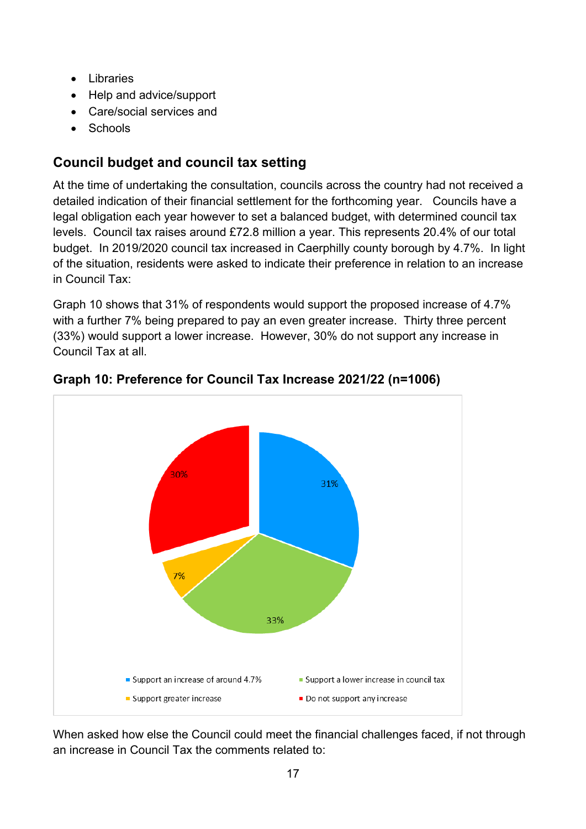- Libraries
- Help and advice/support
- Care/social services and
- Schools

## <span id="page-16-0"></span>**Council budget and council tax setting**

At the time of undertaking the consultation, councils across the country had not received a detailed indication of their financial settlement for the forthcoming year. Councils have a legal obligation each year however to set a balanced budget, with determined council tax levels. Council tax raises around £72.8 million a year. This represents 20.4% of our total budget. In 2019/2020 council tax increased in Caerphilly county borough by 4.7%. In light of the situation, residents were asked to indicate their preference in relation to an increase in Council Tax:

Graph 10 shows that 31% of respondents would support the proposed increase of 4.7% with a further 7% being prepared to pay an even greater increase. Thirty three percent (33%) would support a lower increase. However, 30% do not support any increase in Council Tax at all.



<span id="page-16-1"></span>**Graph 10: Preference for Council Tax Increase 2021/22 (n=1006)**

When asked how else the Council could meet the financial challenges faced, if not through an increase in Council Tax the comments related to: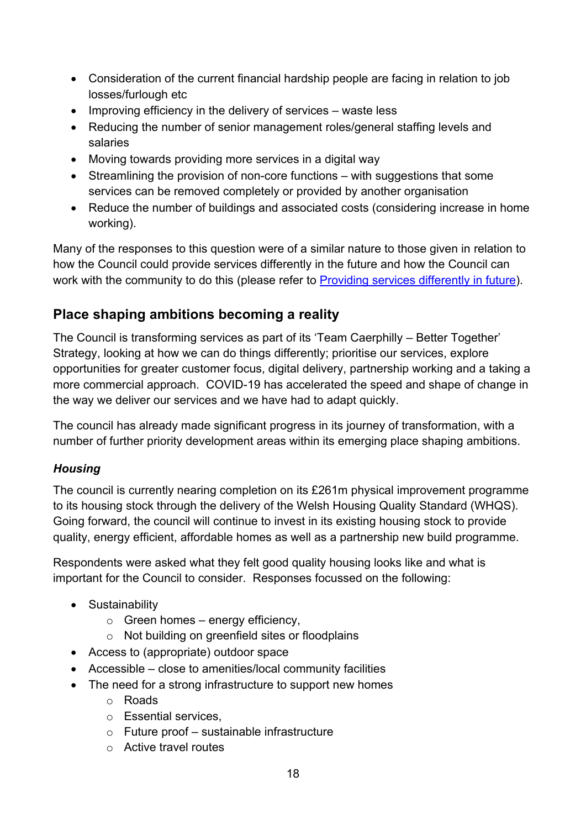- Consideration of the current financial hardship people are facing in relation to job losses/furlough etc
- Improving efficiency in the delivery of services waste less
- Reducing the number of senior management roles/general staffing levels and salaries
- Moving towards providing more services in a digital way
- Streamlining the provision of non-core functions with suggestions that some services can be removed completely or provided by another organisation
- Reduce the number of buildings and associated costs (considering increase in home working).

Many of the responses to this question were of a similar nature to those given in relation to how the Council could provide services differently in the future and how the Council can work with the community to do this (please refer to [Providing services differently in future\)](#page-21-0).

## <span id="page-17-0"></span>**Place shaping ambitions becoming a reality**

The Council is transforming services as part of its 'Team Caerphilly – Better Together' Strategy, looking at how we can do things differently; prioritise our services, explore opportunities for greater customer focus, digital delivery, partnership working and a taking a more commercial approach. COVID-19 has accelerated the speed and shape of change in the way we deliver our services and we have had to adapt quickly.

The council has already made significant progress in its journey of transformation, with a number of further priority development areas within its emerging place shaping ambitions.

#### <span id="page-17-1"></span>*Housing*

The council is currently nearing completion on its £261m physical improvement programme to its housing stock through the delivery of the Welsh Housing Quality Standard (WHQS). Going forward, the council will continue to invest in its existing housing stock to provide quality, energy efficient, affordable homes as well as a partnership new build programme.

Respondents were asked what they felt good quality housing looks like and what is important for the Council to consider. Responses focussed on the following:

- Sustainability
	- $\circ$  Green homes energy efficiency.
	- o Not building on greenfield sites or floodplains
- Access to (appropriate) outdoor space
- Accessible close to amenities/local community facilities
- The need for a strong infrastructure to support new homes
	- o Roads
	- o Essential services,
	- o Future proof sustainable infrastructure
	- o Active travel routes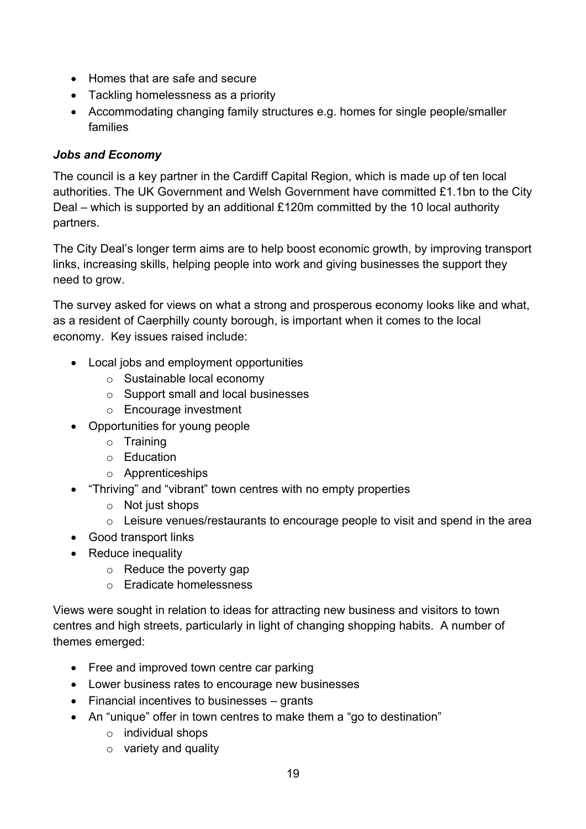- Homes that are safe and secure
- Tackling homelessness as a priority
- Accommodating changing family structures e.g. homes for single people/smaller families

#### <span id="page-18-0"></span>*Jobs and Economy*

The council is a key partner in the Cardiff Capital Region, which is made up of ten local authorities. The UK Government and Welsh Government have committed £1.1bn to the City Deal – which is supported by an additional £120m committed by the 10 local authority partners.

The City Deal's longer term aims are to help boost economic growth, by improving transport links, increasing skills, helping people into work and giving businesses the support they need to grow.

The survey asked for views on what a strong and prosperous economy looks like and what, as a resident of Caerphilly county borough, is important when it comes to the local economy. Key issues raised include:

- Local jobs and employment opportunities
	- o Sustainable local economy
	- o Support small and local businesses
	- o Encourage investment
- Opportunities for young people
	- o Training
	- o Education
	- o Apprenticeships
- "Thriving" and "vibrant" town centres with no empty properties
	- o Not just shops
	- o Leisure venues/restaurants to encourage people to visit and spend in the area
- Good transport links
- Reduce inequality
	- o Reduce the poverty gap
	- o Eradicate homelessness

Views were sought in relation to ideas for attracting new business and visitors to town centres and high streets, particularly in light of changing shopping habits. A number of themes emerged:

- Free and improved town centre car parking
- Lower business rates to encourage new businesses
- Financial incentives to businesses grants
- An "unique" offer in town centres to make them a "go to destination"
	- o individual shops
	- o variety and quality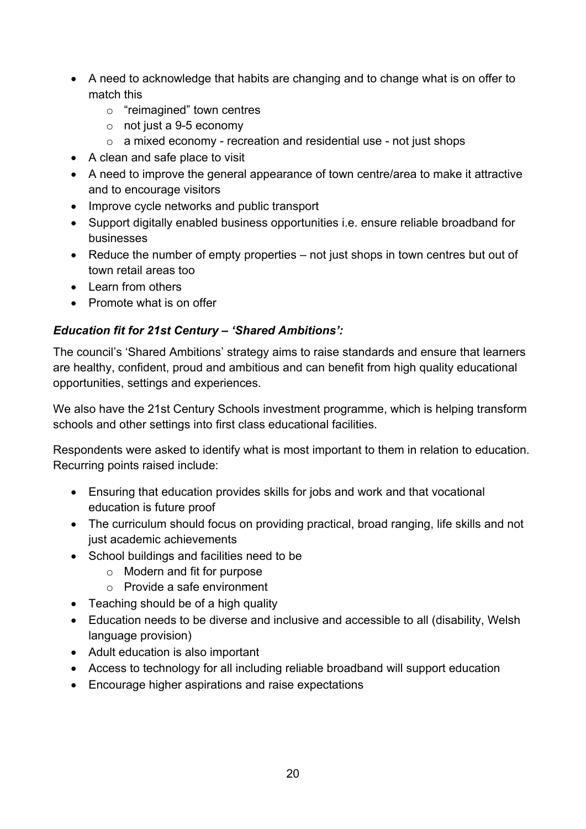- A need to acknowledge that habits are changing and to change what is on offer to match this
	- o "reimagined" town centres
	- o not just a 9-5 economy
	- $\circ$  a mixed economy recreation and residential use not just shops
- A clean and safe place to visit
- A need to improve the general appearance of town centre/area to make it attractive and to encourage visitors
- Improve cycle networks and public transport
- Support digitally enabled business opportunities i.e. ensure reliable broadband for businesses
- Reduce the number of empty properties not just shops in town centres but out of town retail areas too
- Learn from others
- Promote what is on offer

#### <span id="page-19-0"></span>*Education fit for 21st Century – 'Shared Ambitions':*

The council's 'Shared Ambitions' strategy aims to raise standards and ensure that learners are healthy, confident, proud and ambitious and can benefit from high quality educational opportunities, settings and experiences.

We also have the 21st Century Schools investment programme, which is helping transform schools and other settings into first class educational facilities.

Respondents were asked to identify what is most important to them in relation to education. Recurring points raised include:

- Ensuring that education provides skills for jobs and work and that vocational education is future proof
- The curriculum should focus on providing practical, broad ranging, life skills and not just academic achievements
- School buildings and facilities need to be
	- o Modern and fit for purpose
	- o Provide a safe environment
- Teaching should be of a high quality
- Education needs to be diverse and inclusive and accessible to all (disability, Welsh language provision)
- Adult education is also important
- Access to technology for all including reliable broadband will support education
- Encourage higher aspirations and raise expectations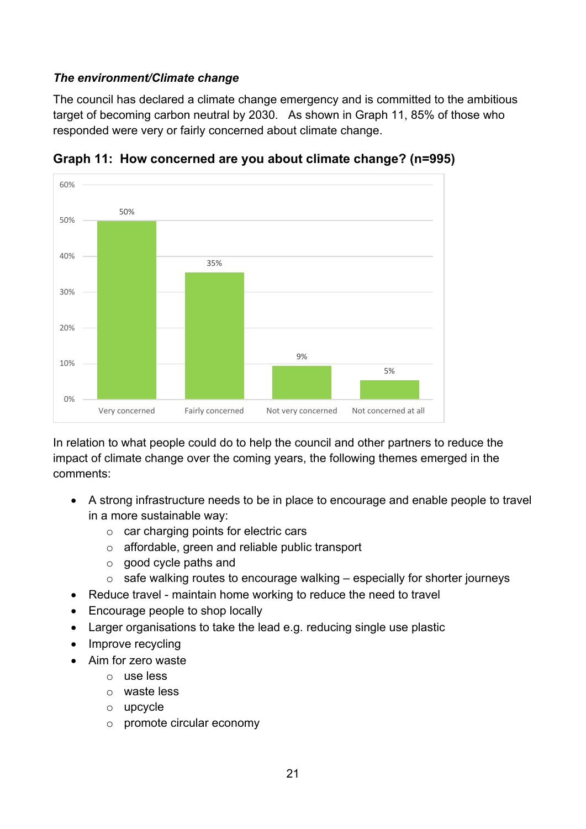#### <span id="page-20-0"></span>*The environment/Climate change*

The council has declared a climate change emergency and is committed to the ambitious target of becoming carbon neutral by 2030. As shown in Graph 11, 85% of those who responded were very or fairly concerned about climate change.



<span id="page-20-1"></span>**Graph 11: How concerned are you about climate change? (n=995)**

In relation to what people could do to help the council and other partners to reduce the impact of climate change over the coming years, the following themes emerged in the comments:

- A strong infrastructure needs to be in place to encourage and enable people to travel in a more sustainable way:
	- o car charging points for electric cars
	- o affordable, green and reliable public transport
	- o good cycle paths and
	- $\circ$  safe walking routes to encourage walking especially for shorter journeys
- Reduce travel maintain home working to reduce the need to travel
- Encourage people to shop locally
- Larger organisations to take the lead e.g. reducing single use plastic
- Improve recycling
- Aim for zero waste
	- o use less
	- o waste less
	- o upcycle
	- o promote circular economy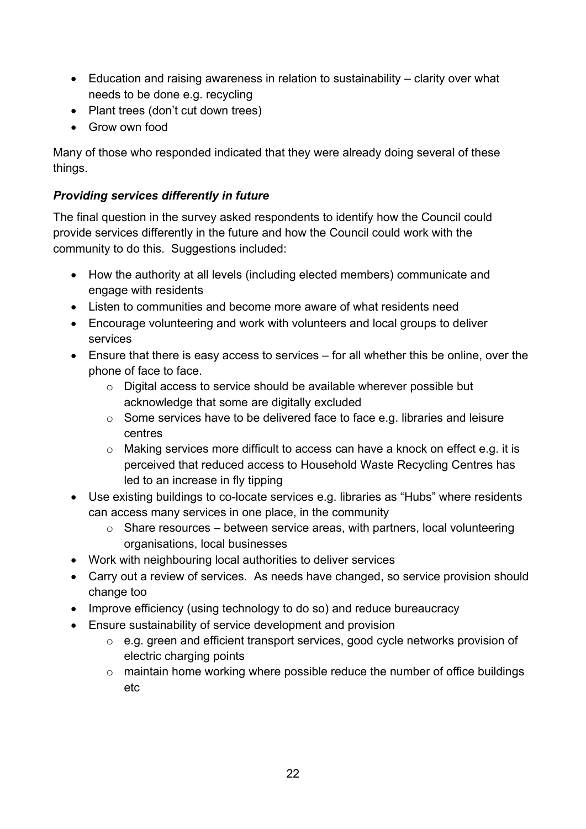- Education and raising awareness in relation to sustainability clarity over what needs to be done e.g. recycling
- Plant trees (don't cut down trees)
- Grow own food

Many of those who responded indicated that they were already doing several of these things.

#### <span id="page-21-0"></span>*Providing services differently in future*

The final question in the survey asked respondents to identify how the Council could provide services differently in the future and how the Council could work with the community to do this. Suggestions included:

- How the authority at all levels (including elected members) communicate and engage with residents
- Listen to communities and become more aware of what residents need
- Encourage volunteering and work with volunteers and local groups to deliver services
- Ensure that there is easy access to services for all whether this be online, over the phone of face to face.
	- o Digital access to service should be available wherever possible but acknowledge that some are digitally excluded
	- o Some services have to be delivered face to face e.g. libraries and leisure centres
	- o Making services more difficult to access can have a knock on effect e.g. it is perceived that reduced access to Household Waste Recycling Centres has led to an increase in fly tipping
- Use existing buildings to co-locate services e.g. libraries as "Hubs" where residents can access many services in one place, in the community
	- $\circ$  Share resources between service areas, with partners, local volunteering organisations, local businesses
- Work with neighbouring local authorities to deliver services
- Carry out a review of services. As needs have changed, so service provision should change too
- Improve efficiency (using technology to do so) and reduce bureaucracy
- Ensure sustainability of service development and provision
	- o e.g. green and efficient transport services, good cycle networks provision of electric charging points
	- o maintain home working where possible reduce the number of office buildings etc